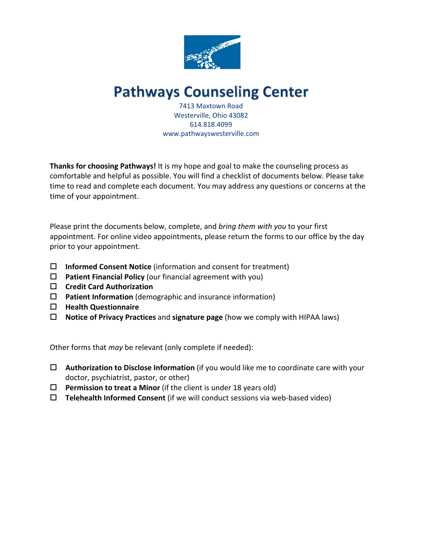

# **Pathways Counseling Center**

7413 Maxtown Road Westerville, Ohio 43082 614.818.4099 www.pathwayswesterville.com

**Thanks for choosing Pathways!** It is my hope and goal to make the counseling process as comfortable and helpful as possible. You will find a checklist of documents below. Please take time to read and complete each document. You may address any questions or concerns at the time of your appointment.

Please print the documents below, complete, and *bring them with you* to your first appointment. For online video appointments, please return the forms to our office by the day prior to your appointment.

- □ **Informed Consent Notice** (information and consent for treatment)
- $\Box$  **Patient Financial Policy** (our financial agreement with you)
- o **Credit Card Authorization**
- □ **Patient Information** (demographic and insurance information)
- $\Box$  Health Questionnaire
- □ **Notice of Privacy Practices** and **signature page** (how we comply with HIPAA laws)

Other forms that *may* be relevant (only complete if needed):

- □ Authorization to Disclose Information (if you would like me to coordinate care with your doctor, psychiatrist, pastor, or other)
- $\Box$  Permission to treat a Minor (if the client is under 18 years old)
- $\Box$  **Telehealth Informed Consent** (if we will conduct sessions via web-based video)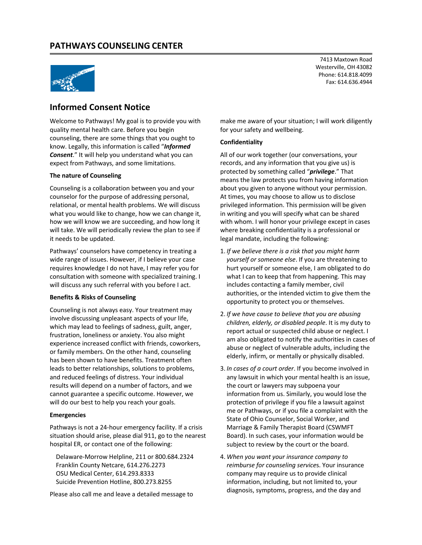

## **Informed Consent Notice**

Welcome to Pathways! My goal is to provide you with quality mental health care. Before you begin counseling, there are some things that you ought to know. Legally, this information is called "*Informed Consent*." It will help you understand what you can expect from Pathways, and some limitations.

#### **The nature of Counseling**

Counseling is a collaboration between you and your counselor for the purpose of addressing personal, relational, or mental health problems. We will discuss what you would like to change, how we can change it, how we will know we are succeeding, and how long it will take. We will periodically review the plan to see if it needs to be updated.

Pathways' counselors have competency in treating a wide range of issues. However, if I believe your case requires knowledge I do not have, I may refer you for consultation with someone with specialized training. I will discuss any such referral with you before I act.

#### **Benefits & Risks of Counseling**

Counseling is not always easy. Your treatment may involve discussing unpleasant aspects of your life, which may lead to feelings of sadness, guilt, anger, frustration, loneliness or anxiety. You also might experience increased conflict with friends, coworkers, or family members. On the other hand, counseling has been shown to have benefits. Treatment often leads to better relationships, solutions to problems, and reduced feelings of distress. Your individual results will depend on a number of factors, and we cannot guarantee a specific outcome. However, we will do our best to help you reach your goals.

#### **Emergencies**

Pathways is not a 24-hour emergency facility. If a crisis situation should arise, please dial 911, go to the nearest hospital ER, or contact one of the following:

Delaware-Morrow Helpline, 211 or 800.684.2324 Franklin County Netcare, 614.276.2273 OSU Medical Center, 614.293.8333 Suicide Prevention Hotline, 800.273.8255

Please also call me and leave a detailed message to

7413 Maxtown Road Westerville, OH 43082 Phone: 614.818.4099 Fax: 614.636.4944

make me aware of your situation; I will work diligently for your safety and wellbeing.

#### **Confidentiality**

All of our work together (our conversations, your records, and any information that you give us) is protected by something called "*privilege*." That means the law protects you from having information about you given to anyone without your permission. At times, you may choose to allow us to disclose privileged information. This permission will be given in writing and you will specify what can be shared with whom. I will honor your privilege except in cases where breaking confidentiality is a professional or legal mandate, including the following:

- 1. *If we believe there is a risk that you might harm yourself or someone else*. If you are threatening to hurt yourself or someone else, I am obligated to do what I can to keep that from happening. This may includes contacting a family member, civil authorities, or the intended victim to give them the opportunity to protect you or themselves.
- 2. *If we have cause to believe that you are abusing children, elderly, or disabled people*. It is my duty to report actual or suspected child abuse or neglect. I am also obligated to notify the authorities in cases of abuse or neglect of vulnerable adults, including the elderly, infirm, or mentally or physically disabled.
- 3. *In cases of a court order*. If you become involved in any lawsuit in which your mental health is an issue, the court or lawyers may subpoena your information from us. Similarly, you would lose the protection of privilege if you file a lawsuit against me or Pathways, or if you file a complaint with the State of Ohio Counselor, Social Worker, and Marriage & Family Therapist Board (CSWMFT Board). In such cases, your information would be subject to review by the court or the board.
- 4. *When you want your insurance company to reimburse for counseling service*s. Your insurance company may require us to provide clinical information, including, but not limited to, your diagnosis, symptoms, progress, and the day and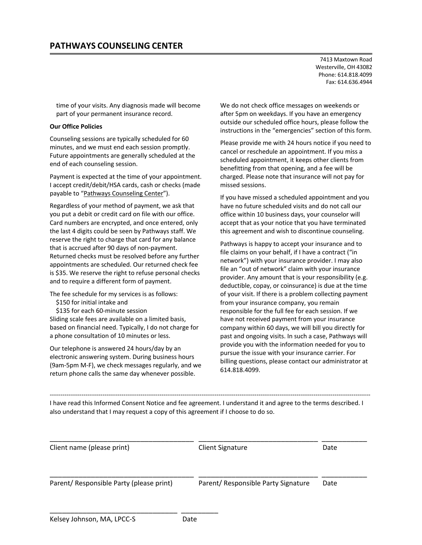time of your visits. Any diagnosis made will become part of your permanent insurance record.

#### **Our Office Policies**

Counseling sessions are typically scheduled for 60 minutes, and we must end each session promptly. Future appointments are generally scheduled at the end of each counseling session.

Payment is expected at the time of your appointment. I accept credit/debit/HSA cards, cash or checks (made payable to "Pathways Counseling Center").

Regardless of your method of payment, we ask that you put a debit or credit card on file with our office. Card numbers are encrypted, and once entered, only the last 4 digits could be seen by Pathways staff. We reserve the right to charge that card for any balance that is accrued after 90 days of non-payment. Returned checks must be resolved before any further appointments are scheduled. Our returned check fee is \$35. We reserve the right to refuse personal checks and to require a different form of payment.

The fee schedule for my services is as follows:

- \$150 for initial intake and
- \$135 for each 60-minute session

Sliding scale fees are available on a limited basis, based on financial need. Typically, I do not charge for a phone consultation of 10 minutes or less.

Our telephone is answered 24 hours/day by an electronic answering system. During business hours (9am-5pm M-F), we check messages regularly, and we return phone calls the same day whenever possible.

\_\_\_\_\_\_\_\_\_\_\_\_\_\_\_\_\_\_\_\_\_\_\_\_\_\_\_\_\_\_\_ \_\_\_\_\_\_\_\_\_

We do not check office messages on weekends or after 5pm on weekdays. If you have an emergency outside our scheduled office hours, please follow the instructions in the "emergencies" section of this form.

Please provide me with 24 hours notice if you need to cancel or reschedule an appointment. If you miss a scheduled appointment, it keeps other clients from benefitting from that opening, and a fee will be charged. Please note that insurance will not pay for missed sessions.

If you have missed a scheduled appointment and you have no future scheduled visits and do not call our office within 10 business days, your counselor will accept that as your notice that you have terminated this agreement and wish to discontinue counseling.

Pathways is happy to accept your insurance and to file claims on your behalf, if I have a contract ("in network") with your insurance provider. I may also file an "out of network" claim with your insurance provider. Any amount that is your responsibility (e.g. deductible, copay, or coinsurance) is due at the time of your visit. If there is a problem collecting payment from your insurance company, you remain responsible for the full fee for each session. If we have not received payment from your insurance company within 60 days, we will bill you directly for past and ongoing visits. In such a case, Pathways will provide you with the information needed for you to pursue the issue with your insurance carrier. For billing questions, please contact our administrator at 614.818.4099.

I have read this Informed Consent Notice and fee agreement. I understand it and agree to the terms described. I also understand that I may request a copy of this agreement if I choose to do so.

--------------------------------------------------------------------------------------------------------------------------------------------------------

| Client name (please print)               | <b>Client Signature</b>             | Date |  |
|------------------------------------------|-------------------------------------|------|--|
| Parent/ Responsible Party (please print) | Parent/ Responsible Party Signature | Date |  |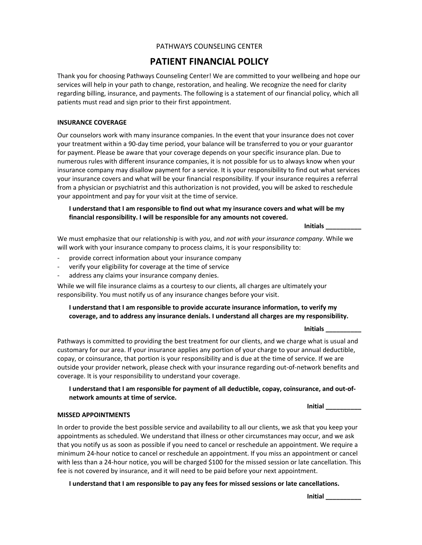## **PATHWAYS COUNSELING CENTER** PATHWAYS COUNSELING CENTER

## **PATIENT FINANCIAL POLICY**

Thank you for choosing Pathways Counseling Center! We are committed to your wellbeing and hope our services will help in your path to change, restoration, and healing. We recognize the need for clarity regarding billing, insurance, and payments. The following is a statement of our financial policy, which all patients must read and sign prior to their first appointment.

#### **INSURANCE COVERAGE**

Our counselors work with many insurance companies. In the event that your insurance does not cover your treatment within a 90-day time period, your balance will be transferred to you or your guarantor for payment. Please be aware that your coverage depends on your specific insurance plan. Due to numerous rules with different insurance companies, it is not possible for us to always know when your insurance company may disallow payment for a service. It is your responsibility to find out what services your insurance covers and what will be your financial responsibility. If your insurance requires a referral from a physician or psychiatrist and this authorization is not provided, you will be asked to reschedule your appointment and pay for your visit at the time of service.

#### **I understand that I am responsible to find out what my insurance covers and what will be my financial responsibility. I will be responsible for any amounts not covered.**

**Initials \_\_\_\_\_\_\_\_\_\_**

We must emphasize that our relationship is with *you*, and *not with your insurance company*. While we will work with your insurance company to process claims, it is your responsibility to:

- provide correct information about your insurance company
- verify your eligibility for coverage at the time of service
- address any claims your insurance company denies.

While we will file insurance claims as a courtesy to our clients, all charges are ultimately your responsibility. You must notify us of any insurance changes before your visit.

#### **I understand that I am responsible to provide accurate insurance information, to verify my coverage, and to address any insurance denials. I understand all charges are my responsibility.**

**Initials \_\_\_\_\_\_\_\_\_\_**

Pathways is committed to providing the best treatment for our clients, and we charge what is usual and customary for our area. If your insurance applies any portion of your charge to your annual deductible, copay, or coinsurance, that portion is your responsibility and is due at the time of service. If we are outside your provider network, please check with your insurance regarding out-of-network benefits and coverage. It is your responsibility to understand your coverage.

#### **I understand that I am responsible for payment of all deductible, copay, coinsurance, and out-ofnetwork amounts at time of service.**

#### **Initial \_\_\_\_\_\_\_\_\_\_**

#### **MISSED APPOINTMENTS**

In order to provide the best possible service and availability to all our clients, we ask that you keep your appointments as scheduled. We understand that illness or other circumstances may occur, and we ask that you notify us as soon as possible if you need to cancel or reschedule an appointment. We require a minimum 24-hour notice to cancel or reschedule an appointment. If you miss an appointment or cancel with less than a 24-hour notice, you will be charged \$100 for the missed session or late cancellation. This fee is not covered by insurance, and it will need to be paid before your next appointment.

**I understand that I am responsible to pay any fees for missed sessions or late cancellations.**

**Initial \_\_\_\_\_\_\_\_\_\_**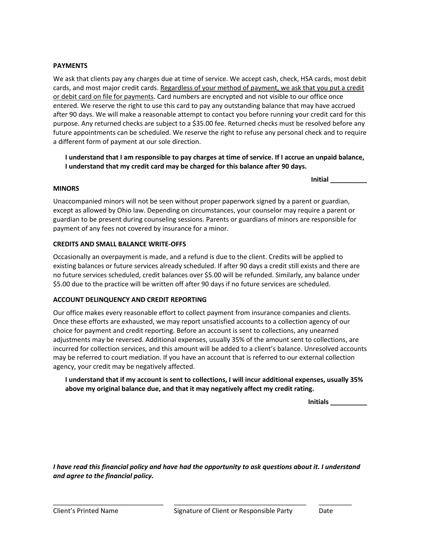#### **PAYMENTS**

Phone: 614.818.4099 We ask that clients pay any charges due at time of service. We accept cash, check, HSA cards, most debit cards, and most major credit cards. Regardless of your method of payment, we ask that you put a credit or debit card on file for payments. Card numbers are encrypted and not visible to our office once entered. We reserve the right to use this card to pay any outstanding balance that may have accrued after 90 days. We will make a reasonable attempt to contact you before running your credit card for this purpose. Any returned checks are subject to a \$35.00 fee. Returned checks must be resolved before any future appointments can be scheduled. We reserve the right to refuse any personal check and to require a different form of payment at our sole direction.

**I understand that I am responsible to pay charges at time of service. If I accrue an unpaid balance, I understand that my credit card may be charged for this balance after 90 days.**

#### **MINORS**

**Initial \_\_\_\_\_\_\_\_\_\_**

Unaccompanied minors will not be seen without proper paperwork signed by a parent or guardian, except as allowed by Ohio law. Depending on circumstances, your counselor may require a parent or guardian to be present during counseling sessions. Parents or guardians of minors are responsible for payment of any fees not covered by insurance for a minor.

### **CREDITS AND SMALL BALANCE WRITE-OFFS**

Occasionally an overpayment is made, and a refund is due to the client. Credits will be applied to existing balances or future services already scheduled. If after 90 days a credit still exists and there are no future services scheduled, credit balances over \$5.00 will be refunded. Similarly, any balance under \$5.00 due to the practice will be written off after 90 days if no future services are scheduled.

#### **ACCOUNT DELINQUENCY AND CREDIT REPORTING**

Our office makes every reasonable effort to collect payment from insurance companies and clients. Once these efforts are exhausted, we may report unsatisfied accounts to a collection agency of our choice for payment and credit reporting. Before an account is sent to collections, any unearned adjustments may be reversed. Additional expenses, usually 35% of the amount sent to collections, are incurred for collection services, and this amount will be added to a client's balance. Unresolved accounts may be referred to court mediation. If you have an account that is referred to our external collection agency, your credit may be negatively affected.

**I understand that if my account is sent to collections, I will incur additional expenses, usually 35% above my original balance due, and that it may negatively affect my credit rating.**

**Initials \_\_\_\_\_\_\_\_\_\_**

*I have read this financial policy and have had the opportunity to ask questions about it. I understand and agree to the financial policy.* 

\_\_\_\_\_\_\_\_\_\_\_\_\_\_\_\_\_\_\_\_\_\_\_\_\_\_\_\_\_\_ \_\_\_\_\_\_\_\_\_\_\_\_\_\_\_\_\_\_\_\_\_\_\_\_\_\_\_\_\_\_\_\_\_\_\_\_ \_\_\_\_\_\_\_\_\_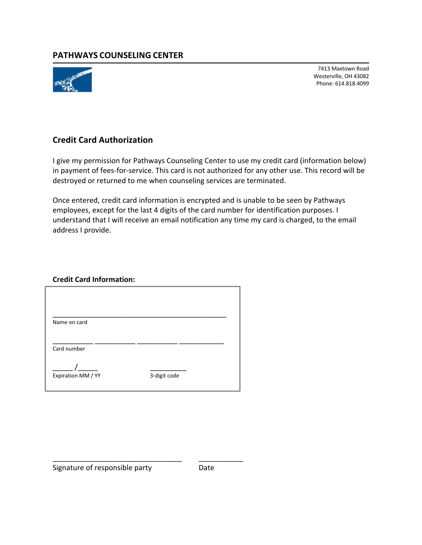

7413 Maxtown Road Westerville, OH 43082 Phone: 614.818.4099

7413 Maxtown Road

## **Credit Card Authorization**

I give my permission for Pathways Counseling Center to use my credit card (information below) in payment of fees-for-service. This card is not authorized for any other use. This record will be destroyed or returned to me when counseling services are terminated.

Once entered, credit card information is encrypted and is unable to be seen by Pathways employees, except for the last 4 digits of the card number for identification purposes. I understand that I will receive an email notification any time my card is charged, to the email address I provide.

## **Credit Card Information:**

| 3-digit code |  |
|--------------|--|
|              |  |

\_\_\_\_\_\_\_\_\_\_\_\_\_\_\_\_\_\_\_\_\_\_\_\_\_\_\_\_\_\_\_\_ \_\_\_\_\_\_\_\_\_\_\_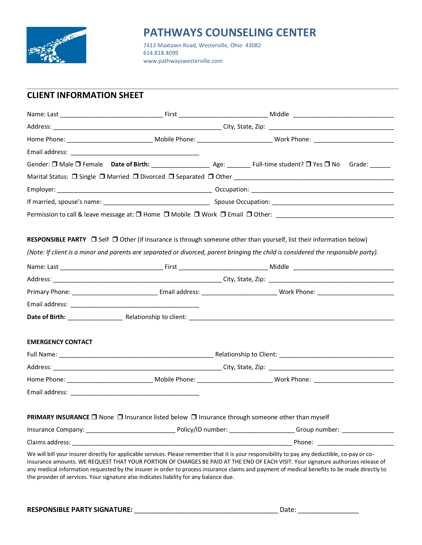

# **PATHWAYS COUNSELING CENTER**<br>7413 Maxtown Road, Westerville, Ohio 43082<br>614.818.4099

**PATHWAYS COUNSELING COUNSELING CALL S18 MAXTOWN ROAd, Westerville, Ohio 43082** 614.818.4099<br>www.pathwayswesterville.com 614.818.4099

## **CLIENT INFORMATION SHEET**

|                                                                                                 |  | Address: City, State, Zip: City, State, Zip: 2004. The City of the City of the City of the City of the City of the City of the City of the City of the City of the City of the City of the City of the City of the City of the                                                                                                                                                                                                       |
|-------------------------------------------------------------------------------------------------|--|--------------------------------------------------------------------------------------------------------------------------------------------------------------------------------------------------------------------------------------------------------------------------------------------------------------------------------------------------------------------------------------------------------------------------------------|
|                                                                                                 |  |                                                                                                                                                                                                                                                                                                                                                                                                                                      |
|                                                                                                 |  |                                                                                                                                                                                                                                                                                                                                                                                                                                      |
|                                                                                                 |  | Gender: $\square$ Male $\square$ Female Date of Birth: Age: Age: Full-time student? $\square$ Yes $\square$ No Grade:                                                                                                                                                                                                                                                                                                                |
|                                                                                                 |  |                                                                                                                                                                                                                                                                                                                                                                                                                                      |
|                                                                                                 |  |                                                                                                                                                                                                                                                                                                                                                                                                                                      |
|                                                                                                 |  |                                                                                                                                                                                                                                                                                                                                                                                                                                      |
|                                                                                                 |  | Permission to call & leave message at: □ Home □ Mobile □ Work □ Email □ Other: ________________________________                                                                                                                                                                                                                                                                                                                      |
|                                                                                                 |  |                                                                                                                                                                                                                                                                                                                                                                                                                                      |
|                                                                                                 |  | RESPONSIBLE PARTY □ Self □ Other (if insurance is through someone other than yourself, list their information below)                                                                                                                                                                                                                                                                                                                 |
|                                                                                                 |  | (Note: If client is a minor and parents are separated or divorced, parent bringing the child is considered the responsible party).                                                                                                                                                                                                                                                                                                   |
|                                                                                                 |  |                                                                                                                                                                                                                                                                                                                                                                                                                                      |
|                                                                                                 |  |                                                                                                                                                                                                                                                                                                                                                                                                                                      |
|                                                                                                 |  |                                                                                                                                                                                                                                                                                                                                                                                                                                      |
|                                                                                                 |  |                                                                                                                                                                                                                                                                                                                                                                                                                                      |
|                                                                                                 |  |                                                                                                                                                                                                                                                                                                                                                                                                                                      |
|                                                                                                 |  |                                                                                                                                                                                                                                                                                                                                                                                                                                      |
| <b>EMERGENCY CONTACT</b>                                                                        |  |                                                                                                                                                                                                                                                                                                                                                                                                                                      |
|                                                                                                 |  |                                                                                                                                                                                                                                                                                                                                                                                                                                      |
|                                                                                                 |  |                                                                                                                                                                                                                                                                                                                                                                                                                                      |
|                                                                                                 |  |                                                                                                                                                                                                                                                                                                                                                                                                                                      |
|                                                                                                 |  |                                                                                                                                                                                                                                                                                                                                                                                                                                      |
|                                                                                                 |  |                                                                                                                                                                                                                                                                                                                                                                                                                                      |
| PRIMARY INSURANCE □ None □ Insurance listed below □ Insurance through someone other than myself |  |                                                                                                                                                                                                                                                                                                                                                                                                                                      |
|                                                                                                 |  |                                                                                                                                                                                                                                                                                                                                                                                                                                      |
|                                                                                                 |  |                                                                                                                                                                                                                                                                                                                                                                                                                                      |
| the provider of services. Your signature also indicates liability for any balance due.          |  | We will bill your insurer directly for applicable services. Please remember that it is your responsibility to pay any deductible, co-pay or co-<br>insurance amounts. WE REQUEST THAT YOUR PORTION OF CHARGES BE PAID AT THE END OF EACH VISIT. Your signature authorizes release of<br>any medical information requested by the insurer in order to process insurance claims and payment of medical benefits to be made directly to |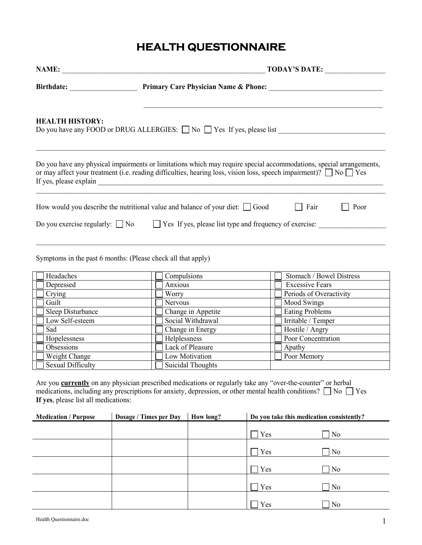#### **PATHWAYS COUNSELING CENTER HEALTH QUESTIONNAIRE**

| <b>HEALTH HISTORY:</b>                                                             |                        |  |                |                          |  | Do you have any FOOD or DRUG ALLERGIES: $\Box$ No $\Box$ Yes If yes, please list                                                                                                                                                                    |
|------------------------------------------------------------------------------------|------------------------|--|----------------|--------------------------|--|-----------------------------------------------------------------------------------------------------------------------------------------------------------------------------------------------------------------------------------------------------|
|                                                                                    |                        |  |                |                          |  | Do you have any physical impairments or limitations which may require special accommodations, special arrangements,<br>or may affect your treatment (i.e. reading difficulties, hearing loss, vision loss, speech impairment)? $\Box$ No $\Box$ Yes |
| How would you describe the nutritional value and balance of your diet: $\Box$ Good |                        |  |                |                          |  | $\Box$ Fair<br>Poor                                                                                                                                                                                                                                 |
|                                                                                    |                        |  |                |                          |  | Do you exercise regularly: $\Box$ No $\Box$ Yes If yes, please list type and frequency of exercise:                                                                                                                                                 |
|                                                                                    |                        |  |                |                          |  |                                                                                                                                                                                                                                                     |
|                                                                                    |                        |  |                |                          |  |                                                                                                                                                                                                                                                     |
| Symptoms in the past 6 months: (Please check all that apply)                       |                        |  |                |                          |  |                                                                                                                                                                                                                                                     |
|                                                                                    |                        |  |                |                          |  |                                                                                                                                                                                                                                                     |
| Headaches                                                                          |                        |  | Compulsions    |                          |  | Stomach / Bowel Distress                                                                                                                                                                                                                            |
| Depressed                                                                          |                        |  | Anxious        |                          |  | <b>Excessive Fears</b>                                                                                                                                                                                                                              |
| Crying                                                                             |                        |  | Worry          |                          |  | Periods of Overactivity                                                                                                                                                                                                                             |
| Guilt                                                                              |                        |  | Nervous        |                          |  | Mood Swings                                                                                                                                                                                                                                         |
| Sleep Disturbance                                                                  |                        |  |                | Change in Appetite       |  | Eating Problems                                                                                                                                                                                                                                     |
| Low Self-esteem                                                                    |                        |  |                | Social Withdrawal        |  | Irritable / Temper                                                                                                                                                                                                                                  |
| Sad                                                                                |                        |  |                | Change in Energy         |  | Hostile / Angry<br>Poor Concentration                                                                                                                                                                                                               |
| Hopelessness<br>Obsessions                                                         |                        |  | Helplessness   | Lack of Pleasure         |  | Apathy                                                                                                                                                                                                                                              |
| Weight Change                                                                      |                        |  | Low Motivation |                          |  | Poor Memory                                                                                                                                                                                                                                         |
| <b>Sexual Difficulty</b>                                                           |                        |  |                | <b>Suicidal Thoughts</b> |  |                                                                                                                                                                                                                                                     |
|                                                                                    |                        |  |                |                          |  |                                                                                                                                                                                                                                                     |
|                                                                                    |                        |  |                |                          |  | Are you currently on any physician prescribed medications or regularly take any "over-the-counter" or herbal                                                                                                                                        |
|                                                                                    |                        |  |                |                          |  | medications, including any prescriptions for anxiety, depression, or other mental health conditions? $\Box$ No $\Box$ Yes                                                                                                                           |
| If yes, please list all medications:                                               |                        |  |                |                          |  |                                                                                                                                                                                                                                                     |
|                                                                                    |                        |  |                |                          |  |                                                                                                                                                                                                                                                     |
| <b>Medication / Purpose</b>                                                        | Dosage / Times per Day |  |                | How long?                |  | Do you take this medication consistently?                                                                                                                                                                                                           |
|                                                                                    |                        |  |                |                          |  | Yes<br>N <sub>o</sub>                                                                                                                                                                                                                               |
|                                                                                    |                        |  |                |                          |  | Yes<br>N <sub>0</sub>                                                                                                                                                                                                                               |
|                                                                                    |                        |  |                |                          |  | Yes<br>N <sub>0</sub>                                                                                                                                                                                                                               |
|                                                                                    |                        |  |                |                          |  | Yes<br>N <sub>0</sub>                                                                                                                                                                                                                               |
|                                                                                    |                        |  |                |                          |  |                                                                                                                                                                                                                                                     |
|                                                                                    |                        |  |                |                          |  | Yes<br>N <sub>o</sub>                                                                                                                                                                                                                               |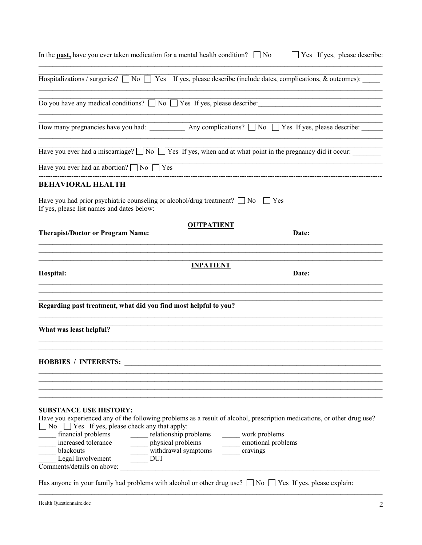| $\Box$ Yes If yes, please describe:<br>In the <b>past</b> , have you ever taken medication for a mental health condition? $\Box$ No                                                                                                                                                                                                                                                                                                                                      |
|--------------------------------------------------------------------------------------------------------------------------------------------------------------------------------------------------------------------------------------------------------------------------------------------------------------------------------------------------------------------------------------------------------------------------------------------------------------------------|
| Hospitalizations / surgeries? $\Box$ No $\Box$ Yes If yes, please describe (include dates, complications, & outcomes):                                                                                                                                                                                                                                                                                                                                                   |
| Do you have any medical conditions? $\Box$ No $\Box$ Yes If yes, please describe:                                                                                                                                                                                                                                                                                                                                                                                        |
| How many pregnancies have you had: _____________ Any complications? ___ No _____ Yes If yes, please describe:                                                                                                                                                                                                                                                                                                                                                            |
| Have you ever had a miscarriage? $\Box$ No $\Box$ Yes If yes, when and at what point in the pregnancy did it occur:                                                                                                                                                                                                                                                                                                                                                      |
| Have you ever had an abortion? $\Box$ No $\Box$ Yes                                                                                                                                                                                                                                                                                                                                                                                                                      |
| <b>BEHAVIORAL HEALTH</b>                                                                                                                                                                                                                                                                                                                                                                                                                                                 |
| Have you had prior psychiatric counseling or alcohol/drug treatment? $\Box$ No $\Box$ Yes<br>If yes, please list names and dates below:                                                                                                                                                                                                                                                                                                                                  |
| <b>OUTPATIENT</b>                                                                                                                                                                                                                                                                                                                                                                                                                                                        |
| <b>Therapist/Doctor or Program Name:</b><br>Date:                                                                                                                                                                                                                                                                                                                                                                                                                        |
|                                                                                                                                                                                                                                                                                                                                                                                                                                                                          |
| <b>INPATIENT</b><br>Hospital:<br>Date:                                                                                                                                                                                                                                                                                                                                                                                                                                   |
|                                                                                                                                                                                                                                                                                                                                                                                                                                                                          |
| Regarding past treatment, what did you find most helpful to you?                                                                                                                                                                                                                                                                                                                                                                                                         |
| What was least helpful?                                                                                                                                                                                                                                                                                                                                                                                                                                                  |
| <b>HOBBIES / INTERESTS:</b>                                                                                                                                                                                                                                                                                                                                                                                                                                              |
| <b>SUBSTANCE USE HISTORY:</b><br>Have you experienced any of the following problems as a result of alcohol, prescription medications, or other drug use?<br>$\Box$ No $\Box$ Yes If yes, please check any that apply:<br>financial problems<br>relationship problems<br>work problems<br>physical problems<br>increased tolerance<br>emotional problems<br>withdrawal symptoms<br>blackouts<br>cravings<br>Legal Involvement<br><b>DUI</b><br>Comments/details on above: |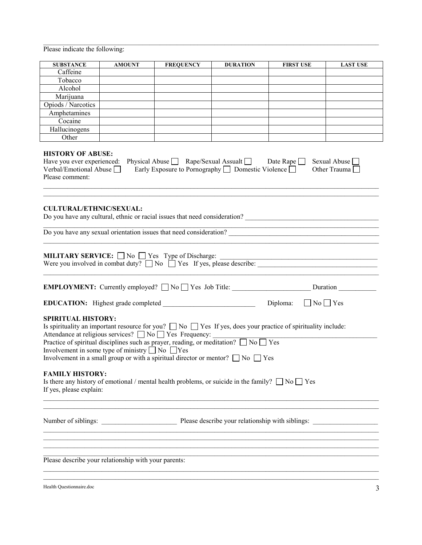**Please indicate the following:** 

| <b>SUBSTANCE</b>                                                                                                                                                                                                                                                                                                                                                                                                                                                                                                | <b>AMOUNT</b>                                                        | <b>FREQUENCY</b>                                                                                                                                                                                                                | <b>DURATION</b> | <b>FIRST USE</b>                 | <b>LAST USE</b>                     |  |
|-----------------------------------------------------------------------------------------------------------------------------------------------------------------------------------------------------------------------------------------------------------------------------------------------------------------------------------------------------------------------------------------------------------------------------------------------------------------------------------------------------------------|----------------------------------------------------------------------|---------------------------------------------------------------------------------------------------------------------------------------------------------------------------------------------------------------------------------|-----------------|----------------------------------|-------------------------------------|--|
| Caffeine                                                                                                                                                                                                                                                                                                                                                                                                                                                                                                        |                                                                      |                                                                                                                                                                                                                                 |                 |                                  |                                     |  |
| Tobacco                                                                                                                                                                                                                                                                                                                                                                                                                                                                                                         |                                                                      |                                                                                                                                                                                                                                 |                 |                                  |                                     |  |
| Alcohol                                                                                                                                                                                                                                                                                                                                                                                                                                                                                                         |                                                                      |                                                                                                                                                                                                                                 |                 |                                  |                                     |  |
| Marijuana                                                                                                                                                                                                                                                                                                                                                                                                                                                                                                       |                                                                      |                                                                                                                                                                                                                                 |                 |                                  |                                     |  |
| Opiods / Narcotics                                                                                                                                                                                                                                                                                                                                                                                                                                                                                              |                                                                      |                                                                                                                                                                                                                                 |                 |                                  |                                     |  |
| Amphetamines                                                                                                                                                                                                                                                                                                                                                                                                                                                                                                    |                                                                      |                                                                                                                                                                                                                                 |                 |                                  |                                     |  |
| Cocaine                                                                                                                                                                                                                                                                                                                                                                                                                                                                                                         |                                                                      |                                                                                                                                                                                                                                 |                 |                                  |                                     |  |
| Hallucinogens<br>Other                                                                                                                                                                                                                                                                                                                                                                                                                                                                                          |                                                                      |                                                                                                                                                                                                                                 |                 |                                  |                                     |  |
| <b>HISTORY OF ABUSE:</b><br>Have you ever experienced:<br>Verbal/Emotional Abuse<br>Please comment:<br><b>CULTURAL/ETHNIC/SEXUAL:</b>                                                                                                                                                                                                                                                                                                                                                                           |                                                                      | Physical Abuse Rape/Sexual Assualt Date Rape<br>Early Exposure to Pornography $\Box$ Domestic Violence $\Box$<br>Do you have any cultural, ethnic or racial issues that need consideration? ___________________________________ |                 |                                  | Sexual Abuse<br>Other Trauma $\Box$ |  |
| Do you have any sexual orientation issues that need consideration?<br><b>MILITARY SERVICE:</b> $\Box$ No $\Box$ Yes Type of Discharge: $\Box$<br>Were you involved in combat duty? $\Box$ No $\Box$ Yes If yes, please describe: $\Box$                                                                                                                                                                                                                                                                         |                                                                      | <b>MILITARY SERVICE:</b> $\Box$ No $\Box$ Yes Type of Discharge:                                                                                                                                                                |                 |                                  |                                     |  |
| EMPLOYMENT: Currently employed? No Ves Job Title: <u>New York: Duration</u> Duration Number                                                                                                                                                                                                                                                                                                                                                                                                                     |                                                                      |                                                                                                                                                                                                                                 |                 |                                  |                                     |  |
|                                                                                                                                                                                                                                                                                                                                                                                                                                                                                                                 |                                                                      |                                                                                                                                                                                                                                 |                 | Diploma:<br>$\Box$ No $\Box$ Yes |                                     |  |
| <b>SPIRITUAL HISTORY:</b><br>Is spirituality an important resource for you? $\Box$ No $\Box$ Yes If yes, does your practice of spirituality include:<br>Auenuance at rengious services? $\Box$ No $\Box$ Yes Frequency: $\Box$ No $\Box$ No $\Box$ Yes Practice of spiritual disciplines such as prayer, reading, or meditation? $\Box$ No $\Box$ Yes<br>Involvement in some type of ministry $\Box$ No $\Box$ Yes<br>Involvement in a small group or with a spiritual director or mentor? $\Box$ No $\Box$ Yes |                                                                      | Attendance at religious services? $\Box$ No $\Box$ Yes Frequency:                                                                                                                                                               |                 |                                  |                                     |  |
| <b>FAMILY HISTORY:</b><br>Is there any history of emotional / mental health problems, or suicide in the family? $\Box$ No $\Box$ Yes<br>If yes, please explain:                                                                                                                                                                                                                                                                                                                                                 |                                                                      |                                                                                                                                                                                                                                 |                 |                                  |                                     |  |
|                                                                                                                                                                                                                                                                                                                                                                                                                                                                                                                 | Number of siblings: Please describe your relationship with siblings: |                                                                                                                                                                                                                                 |                 |                                  |                                     |  |
| Please describe your relationship with your parents:                                                                                                                                                                                                                                                                                                                                                                                                                                                            |                                                                      |                                                                                                                                                                                                                                 |                 |                                  |                                     |  |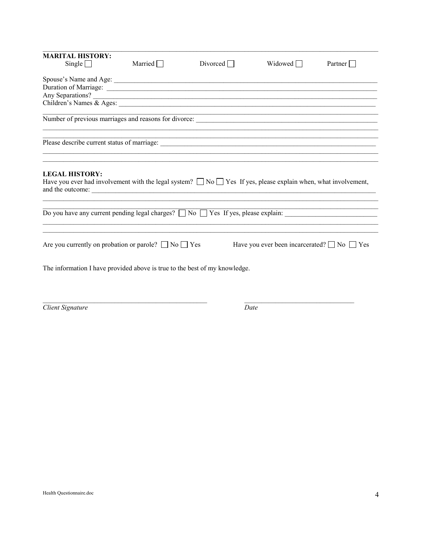| <b>MARITAL HISTORY:</b><br>Single $\Box$                                                                                                                                                              | Married $\Box$                                                                    | Divored | Widowed                                                     | Partner $\Box$ |
|-------------------------------------------------------------------------------------------------------------------------------------------------------------------------------------------------------|-----------------------------------------------------------------------------------|---------|-------------------------------------------------------------|----------------|
|                                                                                                                                                                                                       |                                                                                   |         |                                                             |                |
|                                                                                                                                                                                                       |                                                                                   |         |                                                             |                |
|                                                                                                                                                                                                       |                                                                                   |         |                                                             |                |
| Any Separations?                                                                                                                                                                                      |                                                                                   |         |                                                             |                |
|                                                                                                                                                                                                       |                                                                                   |         |                                                             |                |
|                                                                                                                                                                                                       |                                                                                   |         |                                                             |                |
|                                                                                                                                                                                                       |                                                                                   |         | <u> 1989 - Johann Stoff, amerikansk politiker (d. 1989)</u> |                |
|                                                                                                                                                                                                       | ,我们也不能在这里的人,我们也不能在这里的人,我们也不能在这里的人,我们也不能在这里的人,我们也不能在这里的人,我们也不能在这里的人,我们也不能在这里的人,我们也 |         |                                                             |                |
| <b>LEGAL HISTORY:</b><br>Have you ever had involvement with the legal system? $\Box$ No $\Box$ Yes If yes, please explain when, what involvement,<br>and the outcome: <u>example and the outcome:</u> |                                                                                   |         |                                                             |                |
| Do you have any current pending legal charges? $\Box$ No $\Box$ Yes If yes, please explain:                                                                                                           |                                                                                   |         |                                                             |                |
| Are you currently on probation or parole? $\Box$ No $\Box$ Yes                                                                                                                                        |                                                                                   |         | Have you ever been incarcerated? $\Box$ No $\Box$ Yes       |                |
| The information I have provided above is true to the best of my knowledge.                                                                                                                            |                                                                                   |         |                                                             |                |
|                                                                                                                                                                                                       |                                                                                   |         |                                                             |                |

Client Signature

 $\overline{Date}$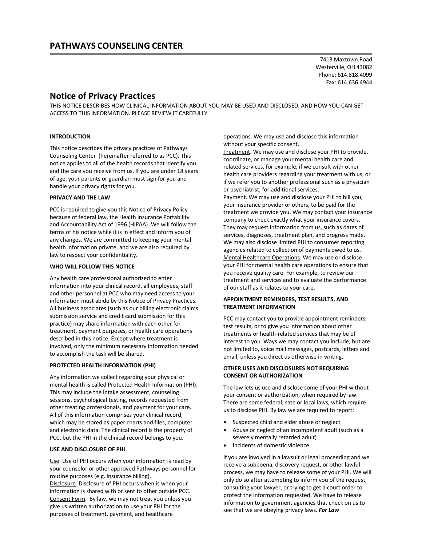## **Notice of Privacy Practices**

THIS NOTICE DESCRIBES HOW CLINICAL INFORMATION ABOUT YOU MAY BE USED AND DISCLOSED, AND HOW YOU CAN GET ACCESS TO THIS INFORMATION. PLEASE REVIEW IT CAREFULLY.

#### **INTRODUCTION**

This notice describes the privacy practices of Pathways Counseling Center (hereinafter referred to as PCC). This notice applies to all of the health records that identify you and the care you receive from us. If you are under 18 years of age, your parents or guardian must sign for you and handle your privacy rights for you.

#### **PRIVACY AND THE LAW**

PCC is required to give you this Notice of Privacy Policy because of federal law, the Health Insurance Portability and Accountability Act of 1996 (HIPAA). We will follow the terms of his notice while it is in effect and inform you of any changes. We are committed to keeping your mental health information private, and we are also required by law to respect your confidentiality.

#### **WHO WILL FOLLOW THIS NOTICE**

Any health care professional authorized to enter information into your clinical record, all employees, staff and other personnel at PCC who may need access to your information must abide by this Notice of Privacy Practices. All business associates (such as our billing electronic claims submission service and credit card submission for this practice) may share information with each other for treatment, payment purposes, or health care operations described in this notice. Except where treatment is involved, only the minimum necessary information needed to accomplish the task will be shared.

#### **PROTECTED HEALTH INFORMATION (PHI)**

Any information we collect regarding your physical or mental health is called Protected Health Information (PHI). This may include the intake assessment, counseling sessions, psychological testing, records requested from other treating professionals, and payment for your care. All of this information comprises your clinical record, which may be stored as paper charts and files, computer and electronic data. The clinical record is the property of PCC, but the PHI in the clinical record belongs to you.

#### **USE AND DISCLOSURE OF PHI**

Use. Use of PHI occurs when your information is read by your counselor or other approved Pathways personnel for routine purposes (e.g. insurance billing). Disclosure. Disclosure of PHI occurs when is when your information is shared with or sent to other outside PCC. Consent Form. By law, we may not treat you unless you give us written authorization to use your PHI for the purposes of treatment, payment, and healthcare

operations. We may use and disclose this information without your specific consent.

Treatment. We may use and disclose your PHI to provide, coordinate, or manage your mental health care and related services, for example, if we consult with other health care providers regarding your treatment with us, or if we refer you to another professional such as a physician or psychiatrist, for additional services.

Payment. We may use and disclose your PHI to bill you, your insurance provider or others, to be paid for the treatment we provide you. We may contact your insurance company to check exactly what your insurance covers. They may request information from us, such as dates of services, diagnoses, treatment plan, and progress made. We may also disclose limited PHI to consumer reporting agencies related to collection of payments owed to us. Mental Healthcare Operations. We may use or disclose your PHI for mental health care operations to ensure that you receive quality care. For example, to review our treatment and services and to evaluate the performance of our staff as it relates to your care.

#### **APPOINTMENT REMINDERS, TEST RESULTS, AND TREATMENT INFORMATION**

PCC may contact you to provide appointment reminders, test results, or to give you information about other treatments or health-related services that may be of interest to you. Ways we may contact you include, but are not limited to, voice mail messages, postcards, letters and email, unless you direct us otherwise in writing.

#### **OTHER USES AND DISCLOSURES NOT REQUIRING CONSENT OR AUTHORIZATION**

The law lets us use and disclose some of your PHI without your consent or authorization, when required by law. There are some federal, sate or local laws, which require us to disclose PHI. By law we are required to report:

- Suspected child and elder abuse or neglect
- Abuse or neglect of an incompetent adult (such as a severely mentally retarded adult)
- Incidents of domestic violence

If you are involved in a lawsuit or legal proceeding and we receive a subpoena, discovery request, or other lawful process, we may have to release some of your PHI. We will only do so after attempting to inform you of the request, consulting your lawyer, or trying to get a court order to protect the information requested. We have to release information to government agencies that check on us to see that we are obeying privacy laws. *For Law*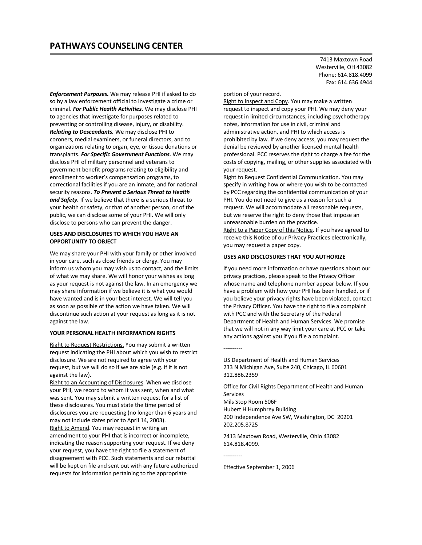*Enforcement Purposes.* We may release PHI if asked to do so by a law enforcement official to investigate a crime or criminal. *For Public Health Activities.* We may disclose PHI to agencies that investigate for purposes related to preventing or controlling disease, injury, or disability. *Relating to Descendants.* We may disclose PHI to coroners, medial examiners, or funeral directors, and to organizations relating to organ, eye, or tissue donations or transplants. *For Specific Government Functions.* We may disclose PHI of military personnel and veterans to government benefit programs relating to eligibility and enrollment to worker's compensation programs, to correctional facilities if you are an inmate, and for national security reasons. *To Prevent a Serious Threat to Health and Safety.* If we believe that there is a serious threat to your health or safety, or that of another person, or of the public, we can disclose some of your PHI. We will only disclose to persons who can prevent the danger.

#### **USES AND DISCLOSURES TO WHICH YOU HAVE AN OPPORTUNITY TO OBJECT**

We may share your PHI with your family or other involved in your care, such as close friends or clergy. You may inform us whom you may wish us to contact, and the limits of what we may share. We will honor your wishes as long as your request is not against the law. In an emergency we may share information if we believe it is what you would have wanted and is in your best interest. We will tell you as soon as possible of the action we have taken. We will discontinue such action at your request as long as it is not against the law.

#### **YOUR PERSONAL HEALTH INFORMATION RIGHTS**

Right to Request Restrictions. You may submit a written request indicating the PHI about which you wish to restrict disclosure. We are not required to agree with your request, but we will do so if we are able (e.g. if it is not against the law).

Right to an Accounting of Disclosures. When we disclose your PHI, we record to whom it was sent, when and what was sent. You may submit a written request for a list of these disclosures. You must state the time period of disclosures you are requesting (no longer than 6 years and may not include dates prior to April 14, 2003). Right to Amend. You may request in writing an amendment to your PHI that is incorrect or incomplete, indicating the reason supporting your request. If we deny your request, you have the right to file a statement of disagreement with PCC. Such statements and our rebuttal will be kept on file and sent out with any future authorized requests for information pertaining to the appropriate

7413 Maxtown Road Westerville, OH 43082 Phone: 614.818.4099 Fax: 614.636.4944

#### portion of your record.

Right to Inspect and Copy. You may make a written request to inspect and copy your PHI. We may deny your request in limited circumstances, including psychotherapy notes, information for use in civil, criminal and administrative action, and PHI to which access is prohibited by law. If we deny access, you may request the denial be reviewed by another licensed mental health professional. PCC reserves the right to charge a fee for the costs of copying, mailing, or other supplies associated with your request.

Right to Request Confidential Communication. You may specify in writing how or where you wish to be contacted by PCC regarding the confidential communication of your PHI. You do not need to give us a reason for such a request. We will accommodate all reasonable requests, but we reserve the right to deny those that impose an unreasonable burden on the practice.

Right to a Paper Copy of this Notice. If you have agreed to receive this Notice of our Privacy Practices electronically, you may request a paper copy.

#### **USES AND DISCLOSURES THAT YOU AUTHORIZE**

If you need more information or have questions about our privacy practices, please speak to the Privacy Officer whose name and telephone number appear below. If you have a problem with how your PHI has been handled, or if you believe your privacy rights have been violated, contact the Privacy Officer. You have the right to file a complaint with PCC and with the Secretary of the Federal Department of Health and Human Services. We promise that we will not in any way limit your care at PCC or take any actions against you if you file a complaint.

US Department of Health and Human Services 233 N Michigan Ave, Suite 240, Chicago, IL 60601 312.886.2359

Office for Civil Rights Department of Health and Human Services Mils Stop Room 506F Hubert H Humphrey Building 200 Independence Ave SW, Washington, DC 20201 202.205.8725

7413 Maxtown Road, Westerville, Ohio 43082 614.818.4099.

----------

----------

Effective September 1, 2006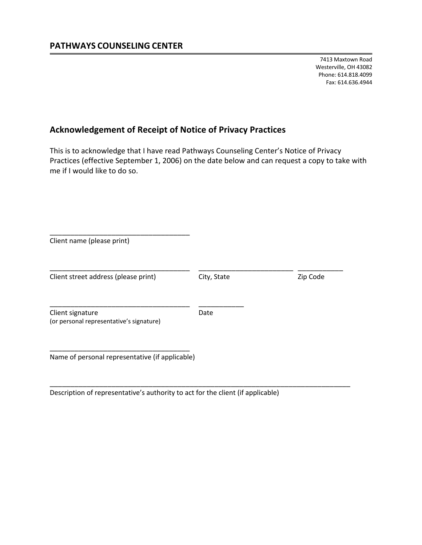## **Acknowledgement of Receipt of Notice of Privacy Practices**

This is to acknowledge that I have read Pathways Counseling Center's Notice of Privacy Practices (effective September 1, 2006) on the date below and can request a copy to take with me if I would like to do so.

| Client name (please print)                                   |             |          |
|--------------------------------------------------------------|-------------|----------|
| Client street address (please print)                         | City, State | Zip Code |
| Client signature<br>(or personal representative's signature) | Date        |          |
| Name of personal representative (if applicable)              |             |          |

\_\_\_\_\_\_\_\_\_\_\_\_\_\_\_\_\_\_\_\_\_\_\_\_\_\_\_\_\_\_\_\_\_\_\_\_\_\_\_\_\_\_\_\_\_\_\_\_\_\_\_\_\_\_\_\_\_\_\_\_\_\_\_\_\_\_\_\_\_\_\_\_\_

Description of representative's authority to act for the client (if applicable)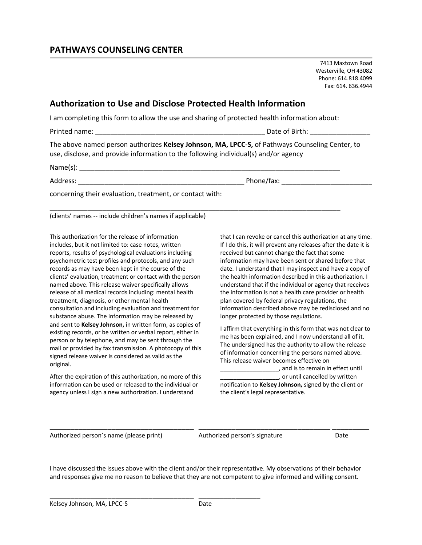7413 Maxtown Road Westerville, OH 43082 Phone: 614.818.4099 Fax: 614. 636.4944

## **Authorization to Use and Disclose Protected Health Information**

I am completing this form to allow the use and sharing of protected health information about:

\_\_\_\_\_\_\_\_\_\_\_\_\_\_\_\_\_\_\_\_\_\_\_\_\_\_\_\_\_\_\_\_\_\_\_\_\_\_\_\_\_\_\_\_\_\_\_\_\_\_\_\_\_\_\_\_\_\_\_\_\_\_\_\_\_\_\_\_\_\_\_\_\_\_\_\_\_

Printed name: \_\_\_\_\_\_\_\_\_\_\_\_\_\_\_\_\_\_\_\_\_\_\_\_\_\_\_\_\_\_\_\_\_\_\_\_\_\_\_\_\_\_\_\_\_ Date of Birth: \_\_\_\_\_\_\_\_\_\_\_\_\_\_\_\_

The above named person authorizes **Kelsey Johnson, MA, LPCC-S,** of Pathways Counseling Center, to use, disclose, and provide information to the following individual(s) and/or agency

 $Name(s):$ 

Address: \_\_\_\_\_\_\_\_\_\_\_\_\_\_\_\_\_\_\_\_\_\_\_\_\_\_\_\_\_\_\_\_\_\_\_\_\_\_\_\_\_\_\_\_ Phone/fax: \_\_\_\_\_\_\_\_\_\_\_\_\_\_\_\_\_\_\_\_\_\_\_\_

concerning their evaluation, treatment, or contact with:

(clients' names -- include children's names if applicable)

This authorization for the release of information includes, but it not limited to: case notes, written reports, results of psychological evaluations including psychometric test profiles and protocols, and any such records as may have been kept in the course of the clients' evaluation, treatment or contact with the person named above. This release waiver specifically allows release of all medical records including: mental health treatment, diagnosis, or other mental health consultation and including evaluation and treatment for substance abuse. The information may be released by and sent to **Kelsey Johnson,** in written form, as copies of existing records, or be written or verbal report, either in person or by telephone, and may be sent through the mail or provided by fax transmission. A photocopy of this signed release waiver is considered as valid as the original.

After the expiration of this authorization, no more of this information can be used or released to the individual or agency unless I sign a new authorization. I understand

\_\_\_\_\_\_\_\_\_\_\_\_\_\_\_\_\_\_\_\_\_\_\_\_\_\_\_\_\_\_\_\_\_\_\_ \_\_\_\_\_\_\_\_\_\_\_\_\_\_\_

that I can revoke or cancel this authorization at any time. If I do this, it will prevent any releases after the date it is received but cannot change the fact that some information may have been sent or shared before that date. I understand that I may inspect and have a copy of the health information described in this authorization. I understand that if the individual or agency that receives the information is not a health care provider or health plan covered by federal privacy regulations, the information described above may be redisclosed and no longer protected by those regulations.

I affirm that everything in this form that was not clear to me has been explained, and I now understand all of it. The undersigned has the authority to allow the release of information concerning the persons named above. This release waiver becomes effective on

\_\_\_\_\_\_\_\_\_\_\_\_\_\_\_\_\_\_, and is to remain in effect until \_\_\_\_\_\_\_\_\_\_\_\_\_\_\_\_\_\_, or until cancelled by written notification to **Kelsey Johnson,** signed by the client or the client's legal representative.

Authorized person's name (please print) Authorized person's signature Date

I have discussed the issues above with the client and/or their representative. My observations of their behavior and responses give me no reason to believe that they are not competent to give informed and willing consent.

\_\_\_\_\_\_\_\_\_\_\_\_\_\_\_\_\_\_\_\_\_\_\_\_\_\_\_\_\_\_\_\_\_\_\_ \_\_\_\_\_\_\_\_\_\_\_\_\_\_\_\_\_\_\_\_\_\_\_\_\_\_\_\_\_\_\_\_ \_\_\_\_\_\_\_\_\_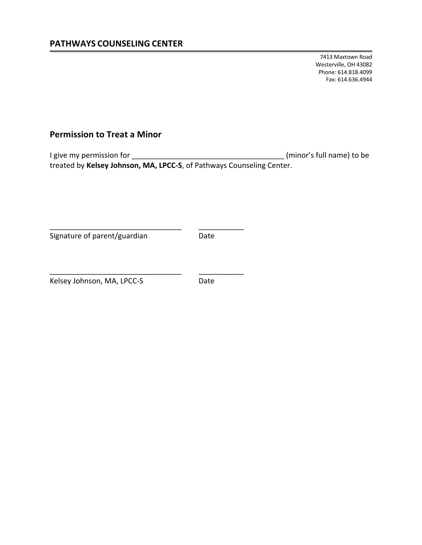## **Permission to Treat a Minor**

I give my permission for \_\_\_\_\_\_\_\_\_\_\_\_\_\_\_\_\_\_\_\_\_\_\_\_\_\_\_\_\_\_\_\_\_\_\_\_\_ (minor's full name) to be treated by **Kelsey Johnson, MA, LPCC-S**, of Pathways Counseling Center.

Signature of parent/guardian and Date

\_\_\_\_\_\_\_\_\_\_\_\_\_\_\_\_\_\_\_\_\_\_\_\_\_\_\_\_\_\_\_\_ \_\_\_\_\_\_\_\_\_\_\_

\_\_\_\_\_\_\_\_\_\_\_\_\_\_\_\_\_\_\_\_\_\_\_\_\_\_\_\_\_\_\_\_ \_\_\_\_\_\_\_\_\_\_\_

Kelsey Johnson, MA, LPCC-S Date